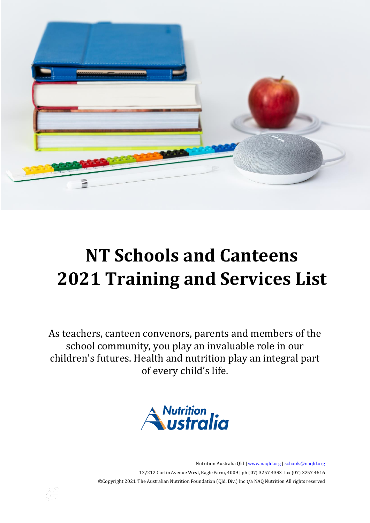

# **NT Schools and Canteens 2021 Training and Services List**

As teachers, canteen convenors, parents and members of the school community, you play an invaluable role in our children's futures. Health and nutrition play an integral part of every child's life.



Nutrition Australia Qld [| www.naqld.org](http://www.naqld.org/) | [schools@naqld.org](mailto:schools@naqld.org) 12/212 Curtin Avenue West, Eagle Farm, 4009 | ph (07) 3257 4393 fax (07) 3257 4616 ©Copyright 2021. The Australian Nutrition Foundation (Qld. Div.) Inc t/a NAQ Nutrition All rights reserved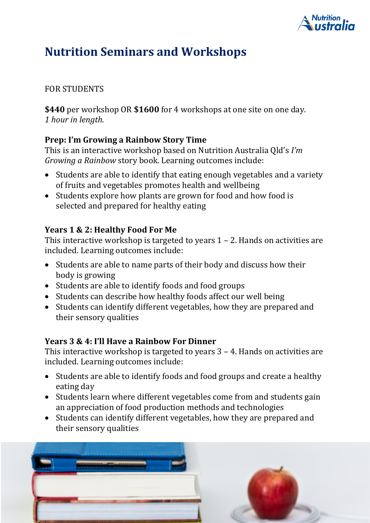

# **Nutrition Seminars and Workshops**

### FOR STUDENTS

**\$440** per workshop OR **\$1600** for 4 workshops at one site on one day. *1 hour in length.*

### **Prep: I'm Growing a Rainbow Story Time**

This is an interactive workshop based on Nutrition Australia Qld's *I'm Growing a Rainbow* story book. Learning outcomes include:

- Students are able to identify that eating enough vegetables and a variety of fruits and vegetables promotes health and wellbeing
- Students explore how plants are grown for food and how food is selected and prepared for healthy eating

### **Years 1 & 2: Healthy Food For Me**

This interactive workshop is targeted to years 1 – 2. Hands on activities are included. Learning outcomes include:

- Students are able to name parts of their body and discuss how their body is growing
- Students are able to identify foods and food groups
- Students can describe how healthy foods affect our well being
- Students can identify different vegetables, how they are prepared and their sensory qualities

#### **Years 3 & 4: I'll Have a Rainbow For Dinner**

This interactive workshop is targeted to years 3 – 4. Hands on activities are included. Learning outcomes include:

- Students are able to identify foods and food groups and create a healthy eating day
- Students learn where different vegetables come from and students gain an appreciation of food production methods and technologies
- Students can identify different vegetables, how they are prepared and their sensory qualities

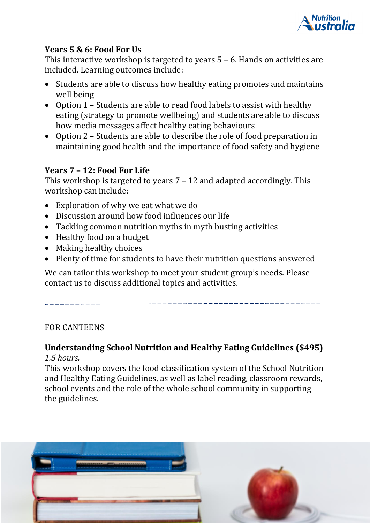

#### **Years 5 & 6: Food For Us**

This interactive workshop is targeted to years 5 – 6. Hands on activities are included. Learning outcomes include:

- Students are able to discuss how healthy eating promotes and maintains well being
- Option 1 Students are able to read food labels to assist with healthy eating (strategy to promote wellbeing) and students are able to discuss how media messages affect healthy eating behaviours
- Option 2 Students are able to describe the role of food preparation in maintaining good health and the importance of food safety and hygiene

### **Years 7 – 12: Food For Life**

This workshop is targeted to years 7 – 12 and adapted accordingly. This workshop can include:

- Exploration of why we eat what we do
- Discussion around how food influences our life
- Tackling common nutrition myths in myth busting activities
- Healthy food on a budget
- Making healthy choices
- Plenty of time for students to have their nutrition questions answered

We can tailor this workshop to meet your student group's needs. Please contact us to discuss additional topics and activities.

### FOR CANTEENS

#### **Understanding School Nutrition and Healthy Eating Guidelines (\$495)** *1.5 hours.*

This workshop covers the food classification system of the School Nutrition and Healthy Eating Guidelines, as well as label reading, classroom rewards, school events and the role of the whole school community in supporting the guidelines.

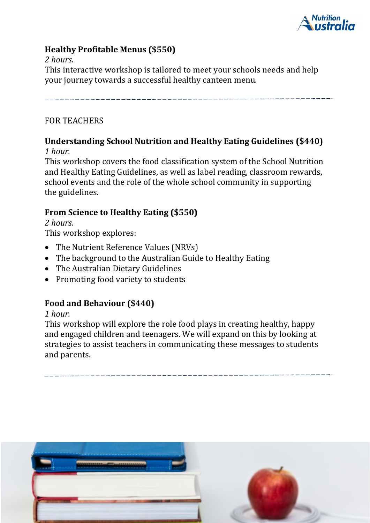

### **Healthy Profitable Menus (\$550)**

#### *2 hours.*

This interactive workshop is tailored to meet your schools needs and help your journey towards a successful healthy canteen menu.

#### FOR TEACHERS

#### **Understanding School Nutrition and Healthy Eating Guidelines (\$440)** *1 hour.*

This workshop covers the food classification system of the School Nutrition and Healthy Eating Guidelines, as well as label reading, classroom rewards, school events and the role of the whole school community in supporting the guidelines.

#### **From Science to Healthy Eating (\$550)**

*2 hours.*

This workshop explores:

- The Nutrient Reference Values (NRVs)
- The background to the Australian Guide to Healthy Eating
- The Australian Dietary Guidelines
- Promoting food variety to students

#### **Food and Behaviour (\$440)**

#### *1 hour.*

This workshop will explore the role food plays in creating healthy, happy and engaged children and teenagers. We will expand on this by looking at strategies to assist teachers in communicating these messages to students and parents.

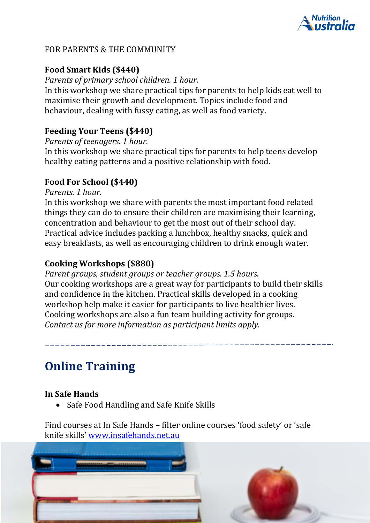

#### FOR PARENTS & THE COMMUNITY

#### **Food Smart Kids (\$440)**

*Parents of primary school children. 1 hour.*

In this workshop we share practical tips for parents to help kids eat well to maximise their growth and development. Topics include food and behaviour, dealing with fussy eating, as well as food variety.

#### **Feeding Your Teens (\$440)**

*Parents of teenagers. 1 hour.*

In this workshop we share practical tips for parents to help teens develop healthy eating patterns and a positive relationship with food.

#### **Food For School (\$440)**

*Parents. 1 hour.*

In this workshop we share with parents the most important food related things they can do to ensure their children are maximising their learning, concentration and behaviour to get the most out of their school day. Practical advice includes packing a lunchbox, healthy snacks, quick and easy breakfasts, as well as encouraging children to drink enough water.

#### **Cooking Workshops (\$880)**

*Parent groups, student groups or teacher groups. 1.5 hours.* Our cooking workshops are a great way for participants to build their skills and confidence in the kitchen. Practical skills developed in a cooking workshop help make it easier for participants to live healthier lives. Cooking workshops are also a fun team building activity for groups. *Contact us for more information as participant limits apply.* 

# **Online Training**

#### **In Safe Hands**

• Safe Food Handling and Safe Knife Skills

Find courses at In Safe Hands – filter online courses 'food safety' or 'safe knife skills' [www.insafehands.net.au](http://www.insafehands.net.au/)

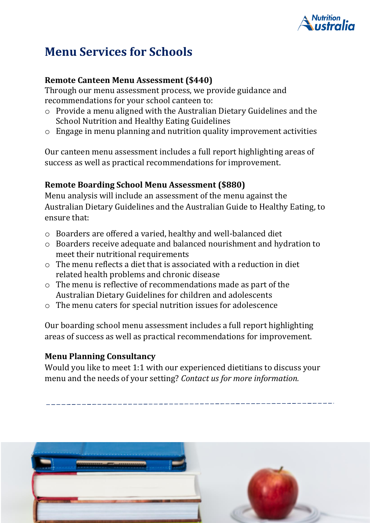

# **Menu Services for Schools**

#### **Remote Canteen Menu Assessment (\$440)**

Through our menu assessment process, we provide guidance and recommendations for your school canteen to:

- o Provide a menu aligned with the Australian Dietary Guidelines and the School Nutrition and Healthy Eating Guidelines
- $\circ$  Engage in menu planning and nutrition quality improvement activities

Our canteen menu assessment includes a full report highlighting areas of success as well as practical recommendations for improvement.

#### **Remote Boarding School Menu Assessment (\$880)**

Menu analysis will include an assessment of the menu against the Australian Dietary Guidelines and the Australian Guide to Healthy Eating, to ensure that:

- o Boarders are offered a varied, healthy and well-balanced diet
- o Boarders receive adequate and balanced nourishment and hydration to meet their nutritional requirements
- $\circ$  The menu reflects a diet that is associated with a reduction in diet related health problems and chronic disease
- o The menu is reflective of recommendations made as part of the Australian Dietary Guidelines for children and adolescents
- o The menu caters for special nutrition issues for adolescence

Our boarding school menu assessment includes a full report highlighting areas of success as well as practical recommendations for improvement.

#### **Menu Planning Consultancy**

Would you like to meet 1:1 with our experienced dietitians to discuss your menu and the needs of your setting? *Contact us for more information.*

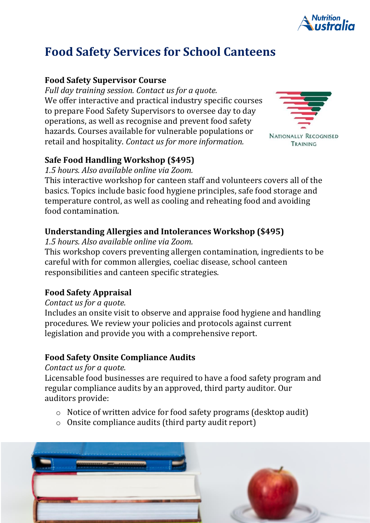

# **Food Safety Services for School Canteens**

### **Food Safety Supervisor Course**

*Full day training session. Contact us for a quote.* We offer interactive and practical industry specific courses to prepare Food Safety Supervisors to oversee day to day operations, as well as recognise and prevent food safety hazards. Courses available for vulnerable populations or retail and hospitality. *Contact us for more information.*



### **Safe Food Handling Workshop (\$495)**

*1.5 hours. Also available online via Zoom.* 

This interactive workshop for canteen staff and volunteers covers all of the basics. Topics include basic food hygiene principles, safe food storage and temperature control, as well as cooling and reheating food and avoiding food contamination.

### **Understanding Allergies and Intolerances Workshop (\$495)**

*1.5 hours. Also available online via Zoom.*

This workshop covers preventing allergen contamination, ingredients to be careful with for common allergies, coeliac disease, school canteen responsibilities and canteen specific strategies.

### **Food Safety Appraisal**

#### *Contact us for a quote.*

Includes an onsite visit to observe and appraise food hygiene and handling procedures. We review your policies and protocols against current legislation and provide you with a comprehensive report.

### **Food Safety Onsite Compliance Audits**

*Contact us for a quote.*

Licensable food businesses are required to have a food safety program and regular compliance audits by an approved, third party auditor. Our auditors provide:

- o Notice of written advice for food safety programs (desktop audit)
- o Onsite compliance audits (third party audit report)

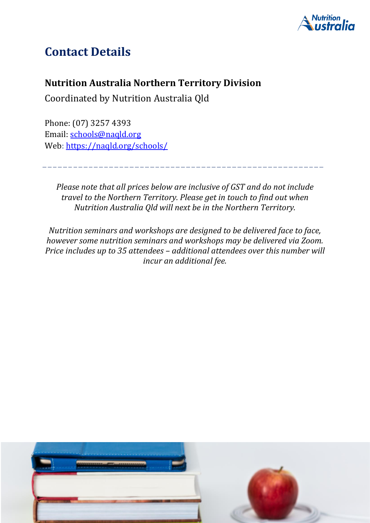

# **Contact Details**

## **Nutrition Australia Northern Territory Division**

Coordinated by Nutrition Australia Qld

Phone: (07) 3257 4393 Email: [schools@naqld.org](mailto:schools@naqld.org) Web: <https://naqld.org/schools/>

*Please note that all prices below are inclusive of GST and do not include travel to the Northern Territory. Please get in touch to find out when Nutrition Australia Qld will next be in the Northern Territory.*

*Nutrition seminars and workshops are designed to be delivered face to face, however some nutrition seminars and workshops may be delivered via Zoom. Price includes up to 35 attendees – additional attendees over this number will incur an additional fee.*